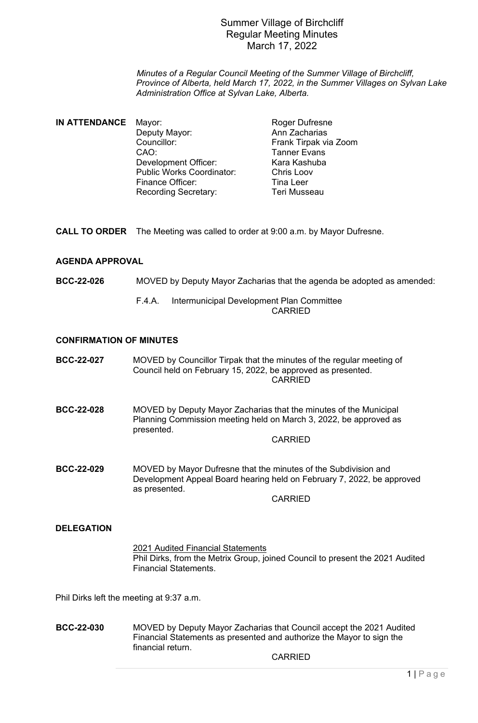*Minutes of a Regular Council Meeting of the Summer Village of Birchcliff, Province of Alberta, held March 17, 2022, in the Summer Villages on Sylvan Lake Administration Office at Sylvan Lake, Alberta.*

| IN ATTENDANCE | Mayor:                           | <b>Roger Dufresne</b> |
|---------------|----------------------------------|-----------------------|
|               | Deputy Mayor:                    | Ann Zacharias         |
|               | Councillor:                      | Frank Tirpak via Zoom |
|               | CAO:                             | <b>Tanner Evans</b>   |
|               | <b>Development Officer:</b>      | Kara Kashuba          |
|               | <b>Public Works Coordinator:</b> | <b>Chris Loov</b>     |
|               | <b>Finance Officer:</b>          | <b>Tina Leer</b>      |
|               | <b>Recording Secretary:</b>      | Teri Musseau          |

**CALL TO ORDER** The Meeting was called to order at 9:00 a.m. by Mayor Dufresne.

### **AGENDA APPROVAL**

**BCC-22-026** MOVED by Deputy Mayor Zacharias that the agenda be adopted as amended:

#### F.4.A. Intermunicipal Development Plan Committee CARRIED

#### **CONFIRMATION OF MINUTES**

**BCC-22-027** MOVED by Councillor Tirpak that the minutes of the regular meeting of Council held on February 15, 2022, be approved as presented. **CARRIED** 

**BCC-22-028** MOVED by Deputy Mayor Zacharias that the minutes of the Municipal Planning Commission meeting held on March 3, 2022, be approved as presented.

CARRIED

**BCC-22-029** MOVED by Mayor Dufresne that the minutes of the Subdivision and Development Appeal Board hearing held on February 7, 2022, be approved as presented.

CARRIED

### **DELEGATION**

2021 Audited Financial Statements Phil Dirks, from the Metrix Group, joined Council to present the 2021 Audited Financial Statements.

Phil Dirks left the meeting at 9:37 a.m.

**BCC-22-030** MOVED by Deputy Mayor Zacharias that Council accept the 2021 Audited Financial Statements as presented and authorize the Mayor to sign the financial return.

CARRIED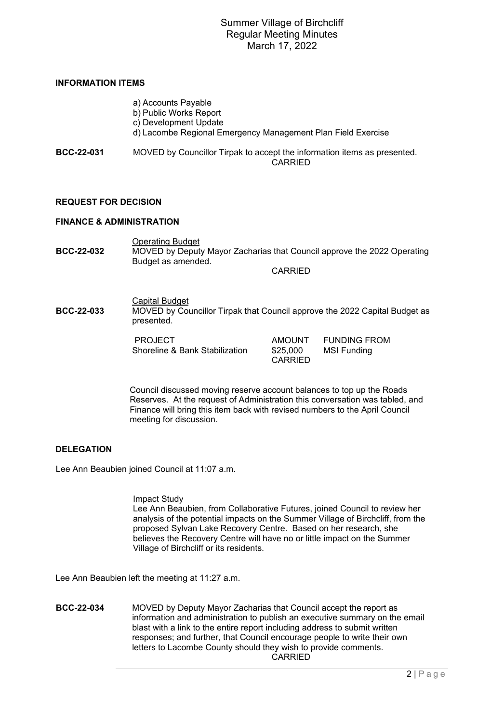### **INFORMATION ITEMS**

|            | a) Accounts Payable<br>b) Public Works Report<br>c) Development Update<br>d) Lacombe Regional Emergency Management Plan Field Exercise |
|------------|----------------------------------------------------------------------------------------------------------------------------------------|
| BCC-22-031 | MOVED by Councillor Tirpak to accept the information items as presented.<br>CARRIED                                                    |

### **REQUEST FOR DECISION**

#### **FINANCE & ADMINISTRATION**

Operating Budget **BCC-22-032** MOVED by Deputy Mayor Zacharias that Council approve the 2022 Operating Budget as amended.

CARRIED

Capital Budget **BCC-22-033** MOVED by Councillor Tirpak that Council approve the 2022 Capital Budget as presented.

> PROJECT **AMOUNT** FUNDING FROM<br>Shoreline & Bank Stabilization \$25,000 MSI Funding Shoreline & Bank Stabilization

CARRIED

Council discussed moving reserve account balances to top up the Roads Reserves. At the request of Administration this conversation was tabled, and Finance will bring this item back with revised numbers to the April Council meeting for discussion.

### **DELEGATION**

Lee Ann Beaubien joined Council at 11:07 a.m.

#### Impact Study

Lee Ann Beaubien, from Collaborative Futures, joined Council to review her analysis of the potential impacts on the Summer Village of Birchcliff, from the proposed Sylvan Lake Recovery Centre. Based on her research, she believes the Recovery Centre will have no or little impact on the Summer Village of Birchcliff or its residents.

Lee Ann Beaubien left the meeting at 11:27 a.m.

**BCC-22-034** MOVED by Deputy Mayor Zacharias that Council accept the report as information and administration to publish an executive summary on the email blast with a link to the entire report including address to submit written responses; and further, that Council encourage people to write their own letters to Lacombe County should they wish to provide comments. CARRIED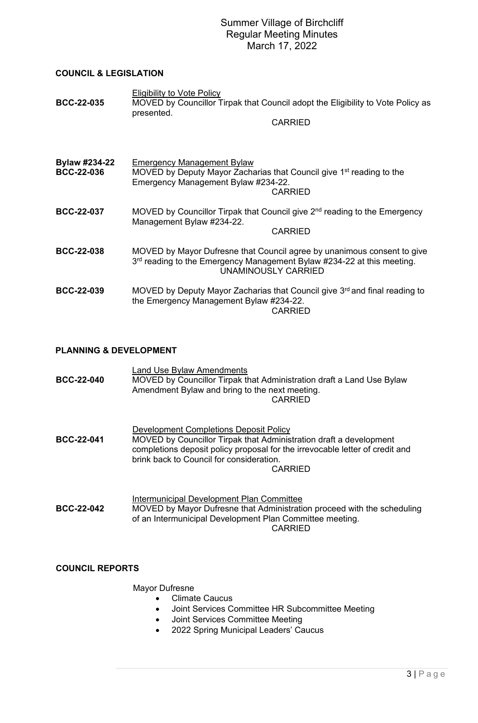### **COUNCIL & LEGISLATION**

| <b>BCC-22-035</b>                  | <b>Eligibility to Vote Policy</b><br>MOVED by Councillor Tirpak that Council adopt the Eligibility to Vote Policy as<br>presented.<br><b>CARRIED</b>                            |
|------------------------------------|---------------------------------------------------------------------------------------------------------------------------------------------------------------------------------|
| Bylaw #234-22<br><b>BCC-22-036</b> | <b>Emergency Management Bylaw</b><br>MOVED by Deputy Mayor Zacharias that Council give 1 <sup>st</sup> reading to the<br>Emergency Management Bylaw #234-22.<br><b>CARRIED</b>  |
| <b>BCC-22-037</b>                  | MOVED by Councillor Tirpak that Council give 2 <sup>nd</sup> reading to the Emergency<br>Management Bylaw #234-22.<br><b>CARRIED</b>                                            |
| <b>BCC-22-038</b>                  | MOVED by Mayor Dufresne that Council agree by unanimous consent to give<br>3rd reading to the Emergency Management Bylaw #234-22 at this meeting.<br><b>UNAMINOUSLY CARRIED</b> |
| <b>BCC-22-039</b>                  | MOVED by Deputy Mayor Zacharias that Council give 3 <sup>rd</sup> and final reading to<br>the Emergency Management Bylaw #234-22.<br><b>CARRIED</b>                             |

# **PLANNING & DEVELOPMENT**

| <b>BCC-22-040</b> | <b>Land Use Bylaw Amendments</b><br>MOVED by Councillor Tirpak that Administration draft a Land Use Bylaw<br>Amendment Bylaw and bring to the next meeting.<br><b>CARRIED</b>                                                                       |
|-------------------|-----------------------------------------------------------------------------------------------------------------------------------------------------------------------------------------------------------------------------------------------------|
| <b>BCC-22-041</b> | Development Completions Deposit Policy<br>MOVED by Councillor Tirpak that Administration draft a development<br>completions deposit policy proposal for the irrevocable letter of credit and<br>brink back to Council for consideration.<br>CARRIED |
| <b>BCC-22-042</b> | Intermunicipal Development Plan Committee<br>MOVED by Mayor Dufresne that Administration proceed with the scheduling<br>of an Intermunicipal Development Plan Committee meeting.<br><b>CARRIED</b>                                                  |

# **COUNCIL REPORTS**

# Mayor Dufresne

- Climate Caucus
- Joint Services Committee HR Subcommittee Meeting
- Joint Services Committee Meeting
- 2022 Spring Municipal Leaders' Caucus